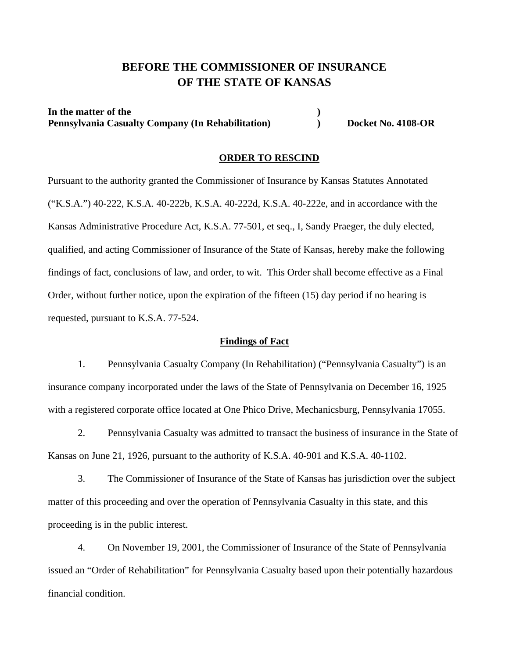# **BEFORE THE COMMISSIONER OF INSURANCE OF THE STATE OF KANSAS**

In the matter of the **) Pennsylvania Casualty Company (In Rehabilitation) by Docket No. 4108-OR** 

#### **ORDER TO RESCIND**

Pursuant to the authority granted the Commissioner of Insurance by Kansas Statutes Annotated ("K.S.A.") 40-222, K.S.A. 40-222b, K.S.A. 40-222d, K.S.A. 40-222e, and in accordance with the Kansas Administrative Procedure Act, K.S.A. 77-501, et seq., I, Sandy Praeger, the duly elected, qualified, and acting Commissioner of Insurance of the State of Kansas, hereby make the following findings of fact, conclusions of law, and order, to wit. This Order shall become effective as a Final Order, without further notice, upon the expiration of the fifteen (15) day period if no hearing is requested, pursuant to K.S.A. 77-524.

#### **Findings of Fact**

 1. Pennsylvania Casualty Company (In Rehabilitation) ("Pennsylvania Casualty") is an insurance company incorporated under the laws of the State of Pennsylvania on December 16, 1925 with a registered corporate office located at One Phico Drive, Mechanicsburg, Pennsylvania 17055.

 2. Pennsylvania Casualty was admitted to transact the business of insurance in the State of Kansas on June 21, 1926, pursuant to the authority of K.S.A. 40-901 and K.S.A. 40-1102.

 3. The Commissioner of Insurance of the State of Kansas has jurisdiction over the subject matter of this proceeding and over the operation of Pennsylvania Casualty in this state, and this proceeding is in the public interest.

 4. On November 19, 2001, the Commissioner of Insurance of the State of Pennsylvania issued an "Order of Rehabilitation" for Pennsylvania Casualty based upon their potentially hazardous financial condition.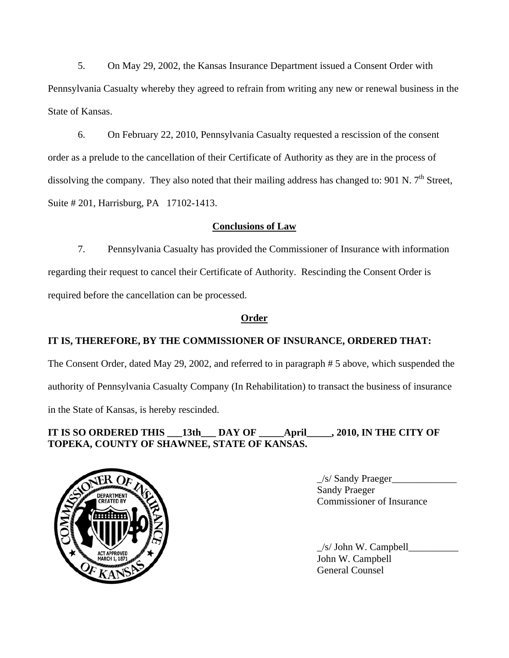5. On May 29, 2002, the Kansas Insurance Department issued a Consent Order with Pennsylvania Casualty whereby they agreed to refrain from writing any new or renewal business in the State of Kansas.

 6. On February 22, 2010, Pennsylvania Casualty requested a rescission of the consent order as a prelude to the cancellation of their Certificate of Authority as they are in the process of dissolving the company. They also noted that their mailing address has changed to: 901 N. 7<sup>th</sup> Street, Suite # 201, Harrisburg, PA 17102-1413.

### **Conclusions of Law**

 7. Pennsylvania Casualty has provided the Commissioner of Insurance with information regarding their request to cancel their Certificate of Authority. Rescinding the Consent Order is required before the cancellation can be processed.

### **Order**

## **IT IS, THEREFORE, BY THE COMMISSIONER OF INSURANCE, ORDERED THAT:**

The Consent Order, dated May 29, 2002, and referred to in paragraph # 5 above, which suspended the authority of Pennsylvania Casualty Company (In Rehabilitation) to transact the business of insurance in the State of Kansas, is hereby rescinded.

### **IT IS SO ORDERED THIS \_\_\_13th\_\_\_ DAY OF \_\_\_\_\_April\_\_\_\_\_, 2010, IN THE CITY OF TOPEKA, COUNTY OF SHAWNEE, STATE OF KANSAS.**



 $\angle$ s/ Sandy Praeger $\angle$ Commissioner of Insurance

 $\angle$ s/ John W. Campbell John W. Campbell General Counsel